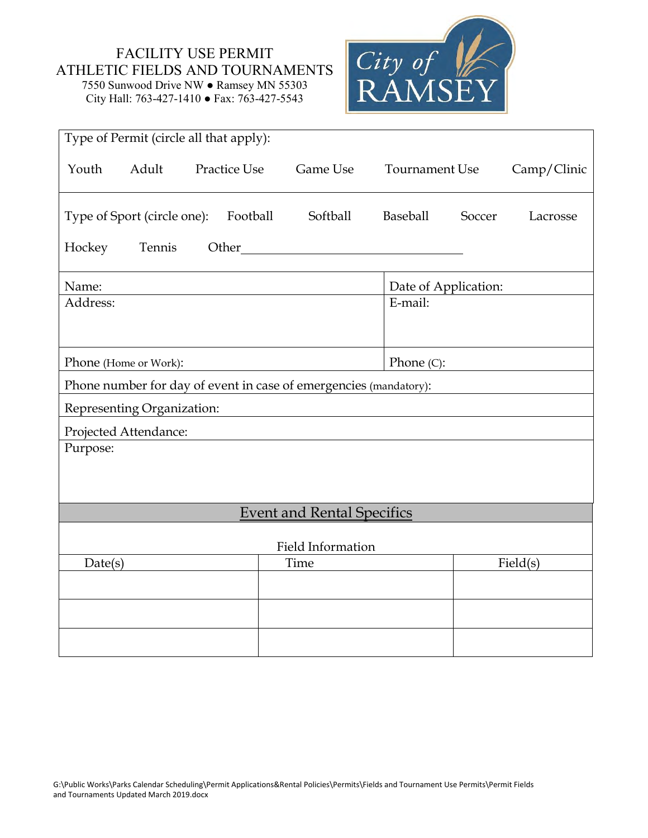## FACILITY USE PERMIT ATHLETIC FIELDS AND TOURNAMENTS 7550 Sunwood Drive NW ● Ramsey MN 55303

City Hall: 763-427-1410 ● Fax: 763-427-5543



| Type of Permit (circle all that apply): |        |                     |                                                                                                                                                                                                                               |                       |        |             |
|-----------------------------------------|--------|---------------------|-------------------------------------------------------------------------------------------------------------------------------------------------------------------------------------------------------------------------------|-----------------------|--------|-------------|
| Adult<br>Youth                          |        | <b>Practice Use</b> | Game Use                                                                                                                                                                                                                      | <b>Tournament Use</b> |        | Camp/Clinic |
| Type of Sport (circle one):             |        | Football            | Softball                                                                                                                                                                                                                      | <b>Baseball</b>       | Soccer | Lacrosse    |
| Hockey                                  | Tennis |                     | Other and the contract of the contract of the contract of the contract of the contract of the contract of the contract of the contract of the contract of the contract of the contract of the contract of the contract of the |                       |        |             |
| Name:                                   |        |                     |                                                                                                                                                                                                                               | Date of Application:  |        |             |
| Address:                                |        |                     |                                                                                                                                                                                                                               | E-mail:               |        |             |
| Phone (Home or Work):                   |        |                     |                                                                                                                                                                                                                               | Phone $(C)$ :         |        |             |
|                                         |        |                     | Phone number for day of event in case of emergencies (mandatory):                                                                                                                                                             |                       |        |             |
| Representing Organization:              |        |                     |                                                                                                                                                                                                                               |                       |        |             |
| Projected Attendance:                   |        |                     |                                                                                                                                                                                                                               |                       |        |             |
| Purpose:                                |        |                     |                                                                                                                                                                                                                               |                       |        |             |
|                                         |        |                     | <b>Event and Rental Specifics</b>                                                                                                                                                                                             |                       |        |             |
|                                         |        |                     | <b>Field Information</b>                                                                                                                                                                                                      |                       |        |             |
| Date(s)                                 |        |                     | Time                                                                                                                                                                                                                          |                       |        | Field(s)    |
|                                         |        |                     |                                                                                                                                                                                                                               |                       |        |             |
|                                         |        |                     |                                                                                                                                                                                                                               |                       |        |             |
|                                         |        |                     |                                                                                                                                                                                                                               |                       |        |             |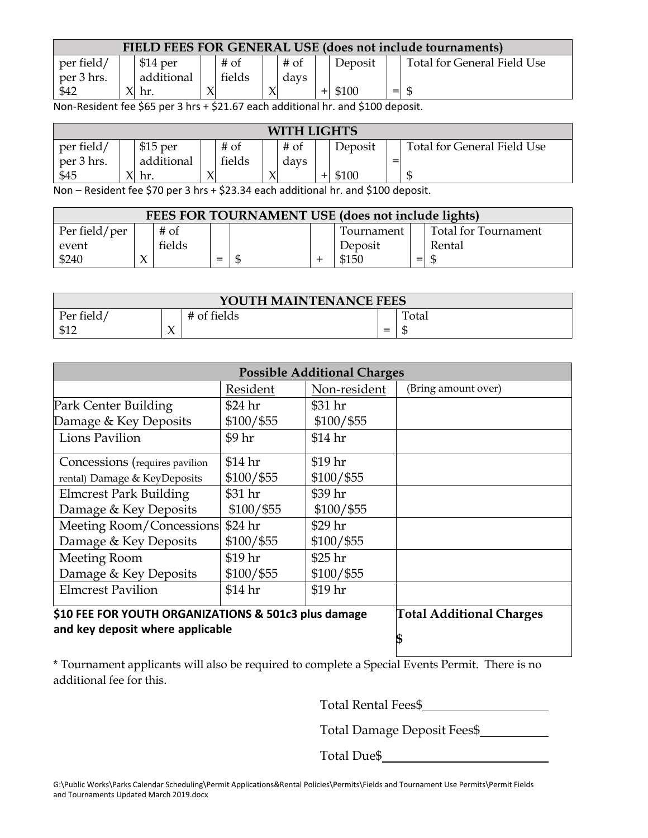| FIELD FEES FOR GENERAL USE (does not include tournaments) |  |            |  |        |  |      |  |         |       |                             |
|-----------------------------------------------------------|--|------------|--|--------|--|------|--|---------|-------|-----------------------------|
| per field/                                                |  | $$14$ per  |  | $#$ of |  | # of |  | Deposit |       | Total for General Field Use |
| per 3 hrs.                                                |  | additional |  | fields |  | days |  |         |       |                             |
| \$42                                                      |  | hr.        |  |        |  |      |  | \$100   | $= 1$ |                             |

Non-Resident fee \$65 per 3 hrs + \$21.67 each additional hr. and \$100 deposit.

| <b>WITH LIGHTS</b> |              |            |  |        |  |        |  |         |   |                             |
|--------------------|--------------|------------|--|--------|--|--------|--|---------|---|-----------------------------|
| per field/         |              | $$15$ per  |  | $#$ of |  | $#$ of |  | Deposit |   | Total for General Field Use |
| per 3 hrs.         |              | additional |  | fields |  | davs   |  |         | = |                             |
| \$45               | $\mathbf{v}$ | hr.        |  |        |  |        |  | \$100   |   |                             |

Non – Resident fee \$70 per 3 hrs + \$23.34 each additional hr. and \$100 deposit.

| FEES FOR TOURNAMENT USE (does not include lights) |  |        |     |    |  |            |     |                      |
|---------------------------------------------------|--|--------|-----|----|--|------------|-----|----------------------|
| Per field/per                                     |  | $#$ of |     |    |  | Tournament |     | Total for Tournament |
| event                                             |  | fields |     |    |  | Deposit    |     | Rental               |
| \$240                                             |  |        | $=$ | £6 |  | \$150      | $=$ |                      |

| YOUTH MAINTENANCE FEES |                    |             |     |       |  |  |  |  |
|------------------------|--------------------|-------------|-----|-------|--|--|--|--|
| Per field/             |                    | # of fields |     | Total |  |  |  |  |
| \$12                   | $\mathbf{v}$<br>╯ヽ |             | $=$ | лIJ   |  |  |  |  |

| <b>Possible Additional Charges</b> |                                                      |              |                     |  |  |  |  |  |  |
|------------------------------------|------------------------------------------------------|--------------|---------------------|--|--|--|--|--|--|
|                                    | Resident                                             | Non-resident | (Bring amount over) |  |  |  |  |  |  |
| Park Center Building               | \$24 hr                                              | \$31 hr      |                     |  |  |  |  |  |  |
| Damage & Key Deposits              | $$100/$ \$55                                         | $$100/$ \$55 |                     |  |  |  |  |  |  |
| Lions Pavilion                     | \$9 hr                                               | \$14 hr      |                     |  |  |  |  |  |  |
| Concessions (requires pavilion     | \$14 hr                                              | $$19$ hr     |                     |  |  |  |  |  |  |
| rental) Damage & KeyDeposits       | $$100/$ \$55                                         | $$100/$ \$55 |                     |  |  |  |  |  |  |
| <b>Elmcrest Park Building</b>      | \$31 hr                                              | \$39 hr      |                     |  |  |  |  |  |  |
| Damage & Key Deposits              | $$100/$ \$55                                         | $$100/$ \$55 |                     |  |  |  |  |  |  |
| Meeting Room/Concessions           | \$24 hr                                              | \$29 hr      |                     |  |  |  |  |  |  |
| Damage & Key Deposits              | $$100/$ \$55                                         | $$100/$ \$55 |                     |  |  |  |  |  |  |
| <b>Meeting Room</b>                | \$19 hr                                              | \$25 hr      |                     |  |  |  |  |  |  |
| Damage & Key Deposits              | $$100/$ \$55                                         | $$100/$ \$55 |                     |  |  |  |  |  |  |
| <b>Elmcrest Pavilion</b>           | \$14 hr                                              | \$19 hr      |                     |  |  |  |  |  |  |
|                                    | \$10 FEE FOR YOUTH ORGANIZATIONS & 501c3 plus damage |              |                     |  |  |  |  |  |  |
| and key deposit where applicable   |                                                      | \$           |                     |  |  |  |  |  |  |

\* Tournament applicants will also be required to complete a Special Events Permit. There is no additional fee for this.

Total Rental Fees\$

Total Damage Deposit Fees\$

Total Due\$